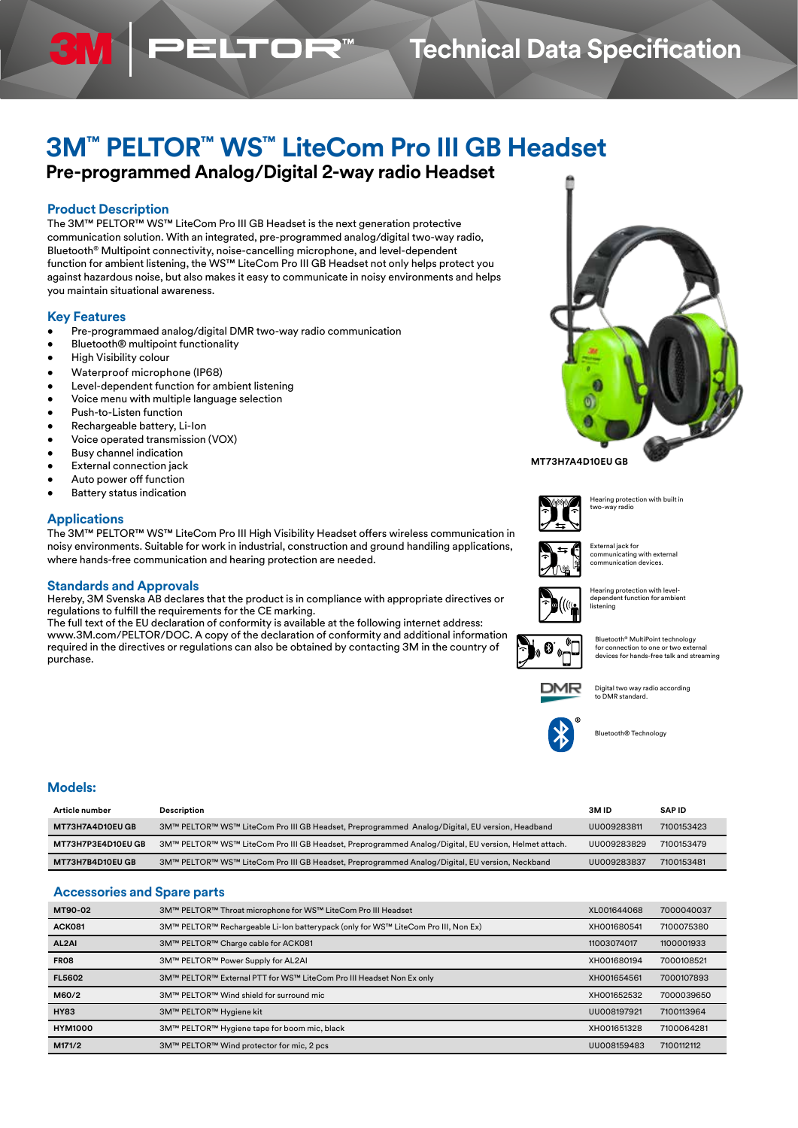# **Technical Data Specification**

# **3M™ PELTOR™ WS™ LiteCom Pro III GB Headset**

**Pre-programmed Analog/Digital 2-way radio Headset** 

**ELTOR** 

# **Product Description**

The 3M™ PELTOR™ WS™ LiteCom Pro III GB Headset is the next generation protective communication solution. With an integrated, pre-programmed analog/digital two-way radio, Bluetooth® Multipoint connectivity, noise-cancelling microphone, and level-dependent function for ambient listening, the WS™ LiteCom Pro III GB Headset not only helps protect you against hazardous noise, but also makes it easy to communicate in noisy environments and helps you maintain situational awareness.

# **Key Features**

- Pre-programmaed analog/digital DMR two-way radio communication
- Bluetooth® multipoint functionality
- High Visibility colour
- Waterproof microphone (IP68)
- Level-dependent function for ambient listening
- Voice menu with multiple language selection
- Push-to-Listen function
- Rechargeable battery, Li-Ion
- Voice operated transmission (VOX)
- Busy channel indication
- **External connection jack**
- Auto power off function
- Battery status indication

# **Applications**

The 3M™ PELTOR™ WS™ LiteCom Pro III High Visibility Headset offers wireless communication in noisy environments. Suitable for work in industrial, construction and ground handiling applications, where hands-free communication and hearing protection are needed.

#### **Standards and Approvals**

Hereby, 3M Svenska AB declares that the product is in compliance with appropriate directives or regulations to fulfill the requirements for the CE marking.

The full text of the EU declaration of conformity is available at the following internet address: www.3M.com/PELTOR/DOC. A copy of the declaration of conformity and additional information required in the directives or regulations can also be obtained by contacting 3M in the country of purchase.



### **MT73H7A4D10EU GB**







External jack for communicating with external communication devices.

Hearing protection with level-dependent function for ambient listening

uetooth® MultiPoint technology for connection to one or two external devices for hands-free talk and streaming

Digital two way radio according to DMR standard.



Bluetooth® Technology

## **Models:**

| Article number            | Description                                                                                          | 3M ID       | <b>SAPID</b> |
|---------------------------|------------------------------------------------------------------------------------------------------|-------------|--------------|
| <b>MT73H7A4D10EU GB</b>   | 3M™ PELTOR™ WS™ LiteCom Pro III GB Headset, Preprogrammed Analog/Digital, EU version, Headband       | UU009283811 | 7100153423   |
| <b>MT73H7P3E4D10EU GB</b> | 3M™ PELTOR™ WS™ LiteCom Pro III GB Headset, Preprogrammed Analog/Digital, EU version, Helmet attach. | UU009283829 | 7100153479   |
| <b>MT73H7B4D10EU GB</b>   | 3M™ PELTOR™ WS™ LiteCom Pro III GB Headset, Preprogrammed Analog/Digital, EU version, Neckband       | UU009283837 | 7100153481   |

# **Accessories and Spare parts**

| MT90-02        | 3M™ PELTOR™ Throat microphone for WS™ LiteCom Pro III Headset                      | XL001644068 | 7000040037 |
|----------------|------------------------------------------------------------------------------------|-------------|------------|
| <b>ACK081</b>  | 3M™ PELTOR™ Rechargeable Li-Ion batterypack (only for WS™ LiteCom Pro III, Non Ex) | XH001680541 | 7100075380 |
| AL2AI          | 3M™ PELTOR™ Charge cable for ACK081                                                | 11003074017 | 1100001933 |
| <b>FR08</b>    | 3M™ PELTOR™ Power Supply for AL2AI                                                 | XH001680194 | 7000108521 |
| <b>FL5602</b>  | 3M™ PELTOR™ External PTT for WS™ LiteCom Pro III Headset Non Ex only               | XH001654561 | 7000107893 |
| M60/2          | 3M™ PELTOR™ Wind shield for surround mic                                           | XH001652532 | 7000039650 |
| <b>HY83</b>    | 3M™ PELTOR™ Hygiene kit                                                            | UU008197921 | 7100113964 |
| <b>HYM1000</b> | 3M™ PELTOR™ Hygiene tape for boom mic, black                                       | XH001651328 | 7100064281 |
| M171/2         | 3M™ PELTOR™ Wind protector for mic, 2 pcs                                          | UU008159483 | 7100112112 |